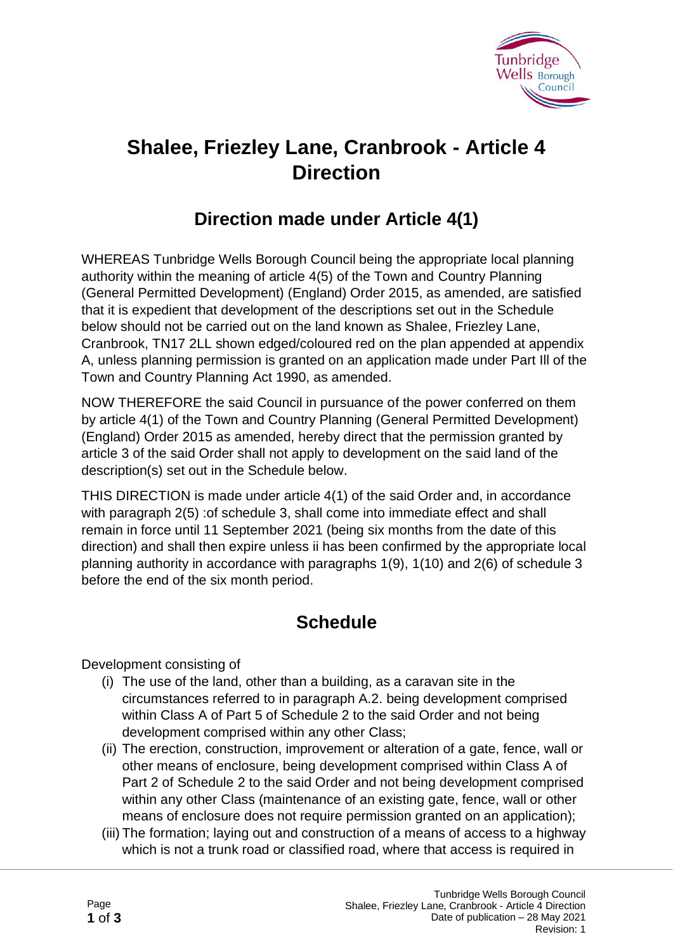

# **Shalee, Friezley Lane, Cranbrook - Article 4 Direction**

## **Direction made under Article 4(1)**

WHEREAS Tunbridge Wells Borough Council being the appropriate local planning authority within the meaning of article 4(5) of the Town and Country Planning (General Permitted Development) (England) Order 2015, as amended, are satisfied that it is expedient that development of the descriptions set out in the Schedule below should not be carried out on the land known as Shalee, Friezley Lane, Cranbrook, TN17 2LL shown edged/coloured red on the plan appended at appendix A, unless planning permission is granted on an application made under Part Ill of the Town and Country Planning Act 1990, as amended.

NOW THEREFORE the said Council in pursuance of the power conferred on them by article 4(1) of the Town and Country Planning (General Permitted Development) (England) Order 2015 as amended, hereby direct that the permission granted by article 3 of the said Order shall not apply to development on the said land of the description(s) set out in the Schedule below.

THIS DIRECTION is made under article 4(1) of the said Order and, in accordance with paragraph 2(5) :of schedule 3, shall come into immediate effect and shall remain in force until 11 September 2021 (being six months from the date of this direction) and shall then expire unless ii has been confirmed by the appropriate local planning authority in accordance with paragraphs 1(9), 1(10) and 2(6) of schedule 3 before the end of the six month period.

## **Schedule**

Development consisting of

- (i) The use of the land, other than a building, as a caravan site in the circumstances referred to in paragraph A.2. being development comprised within Class A of Part 5 of Schedule 2 to the said Order and not being development comprised within any other Class;
- (ii) The erection, construction, improvement or alteration of a gate, fence, wall or other means of enclosure, being development comprised within Class A of Part 2 of Schedule 2 to the said Order and not being development comprised within any other Class (maintenance of an existing gate, fence, wall or other means of enclosure does not require permission granted on an application);
- (iii) The formation; laying out and construction of a means of access to a highway which is not a trunk road or classified road, where that access is required in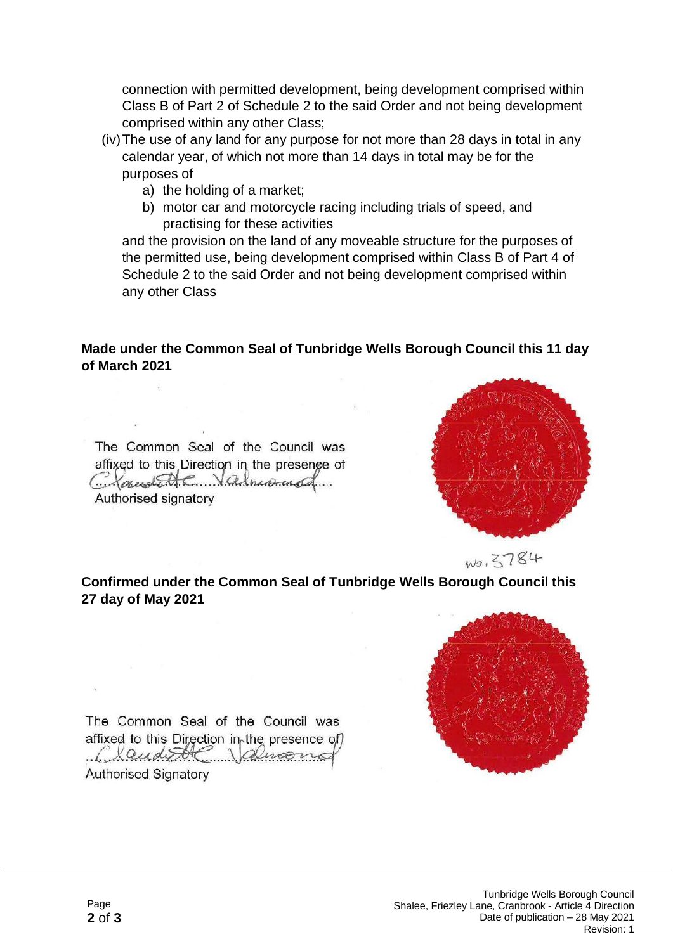connection with permitted development, being development comprised within Class B of Part 2 of Schedule 2 to the said Order and not being development comprised within any other Class;

- (iv)The use of any land for any purpose for not more than 28 days in total in any calendar year, of which not more than 14 days in total may be for the purposes of
	- a) the holding of a market;
	- b) motor car and motorcycle racing including trials of speed, and practising for these activities

and the provision on the land of any moveable structure for the purposes of the permitted use, being development comprised within Class B of Part 4 of Schedule 2 to the said Order and not being development comprised within any other Class

#### **Made under the Common Seal of Tunbridge Wells Borough Council this 11 day of March 2021**

The Common Seal of the Council was affixed to this Direction in the presence of Chandelle Valmond Authorised signatory

-97



**Confirmed under the Common Seal of Tunbridge Wells Borough Council this 27 day of May 2021**



The Common Seal of the Council was affixed to this Direction in the presence of) Claude Valuano **Authorised Signatory**